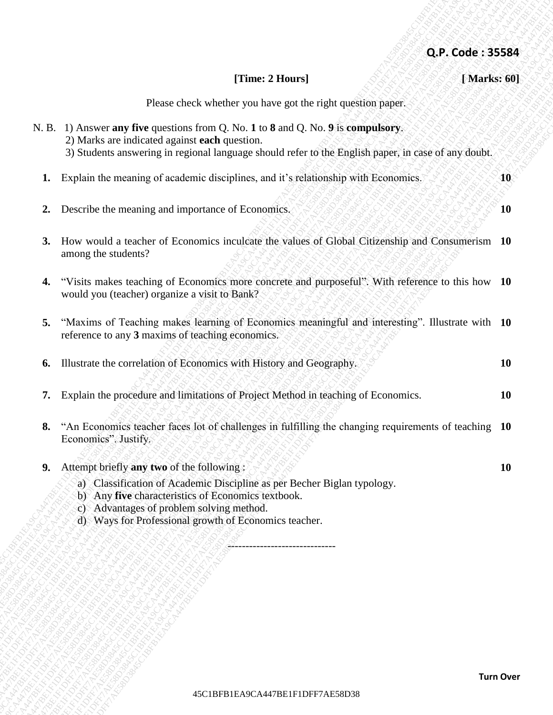|                  | Q.P. Code: 35584                                                                                                                                                                                                                          |    |
|------------------|-------------------------------------------------------------------------------------------------------------------------------------------------------------------------------------------------------------------------------------------|----|
|                  | [Time: 2 Hours]<br>[Marks: 60]                                                                                                                                                                                                            |    |
|                  | Please check whether you have got the right question paper.                                                                                                                                                                               |    |
|                  | N. B. 1) Answer any five questions from Q. No. 1 to 8 and Q. No. 9 is compulsory.<br>2) Marks are indicated against each question.<br>3) Students answering in regional language should refer to the English paper, in case of any doubt. |    |
| 40               | Explain the meaning of academic disciplines, and it's relationship with Economics.                                                                                                                                                        | 1. |
| 10               | Describe the meaning and importance of Economics.                                                                                                                                                                                         | 2. |
|                  | How would a teacher of Economics inculcate the values of Global Citizenship and Consumerism 10<br>among the students?                                                                                                                     | 3. |
|                  | "Visits makes teaching of Economics more concrete and purposeful". With reference to this how 10<br>would you (teacher) organize a visit to Bank?                                                                                         | 4. |
|                  | "Maxims of Teaching makes learning of Economics meaningful and interesting". Illustrate with 10<br>reference to any 3 maxims of teaching economics.                                                                                       | 5. |
| <b>10</b>        | Illustrate the correlation of Economics with History and Geography.                                                                                                                                                                       | 6. |
| <b>10</b>        | Explain the procedure and limitations of Project Method in teaching of Economics.                                                                                                                                                         | 7. |
|                  | "An Economics teacher faces lot of challenges in fulfilling the changing requirements of teaching 10<br>Economics". Justify.                                                                                                              | 8. |
| <b>10</b>        | Attempt briefly any two of the following:                                                                                                                                                                                                 | 9. |
|                  | a) Classification of Academic Discipline as per Becher Biglan typology.<br>b) Any five characteristics of Economics textbook.<br>c) Advantages of problem solving method.<br>d) Ways for Professional growth of Economics teacher.        |    |
|                  |                                                                                                                                                                                                                                           |    |
|                  |                                                                                                                                                                                                                                           |    |
|                  |                                                                                                                                                                                                                                           |    |
|                  |                                                                                                                                                                                                                                           |    |
|                  |                                                                                                                                                                                                                                           |    |
|                  |                                                                                                                                                                                                                                           |    |
| <b>Turn Over</b> |                                                                                                                                                                                                                                           |    |
|                  | 45C1BFB1EA9CA447BE1F1DFF7AE58D38                                                                                                                                                                                                          |    |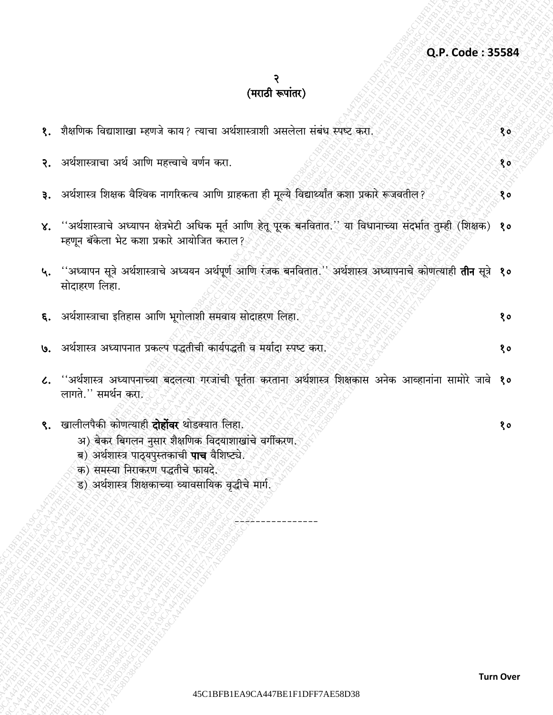## २<br>(मराठी रूपांतर)

| १.  शैक्षणिक विद्याशाखा म्हणजे काय? त्याचा अर्थशास्त्राशी असलेला संबंध स्पष्ट करा.                                                                                                                                                                         | 80 |
|------------------------------------------------------------------------------------------------------------------------------------------------------------------------------------------------------------------------------------------------------------|----|
| २. अर्थशास्त्राचा अर्थ आणि महत्त्वाचे वर्णन करा.                                                                                                                                                                                                           | १० |
| ३. अर्थशास्त्र शिक्षक वैश्विक नागरिकत्व आणि ग्राहकता ही मूल्ये विद्यार्थ्यांत कशा प्रकारे रूजवतील?                                                                                                                                                         | 80 |
| ४. ''अर्थशास्त्राचे अध्यापन क्षेत्रभेटी अधिक मूर्त आणि हेतू पूरक बनवितात.'' या विधानाच्या संदर्भात तुम्ही (शिक्षक)<br>म्हणून बॅकेला भेट कशा प्रकारे आयोजित कराल?                                                                                           | १० |
| ५. ''अध्यापन सूत्रे अर्थशास्त्राचे अध्ययन अर्थपूर्ण आणि रंजक बनवितात.'' अर्थशास्त्र अध्यापनाचे कोणत्याही <b>तीन</b> सूत्रे <b>१०</b><br>सोदाहरण लिहा.                                                                                                      |    |
| ६. अर्थशास्त्राचा इतिहास आणि भूगोलाशी समवाय सोदाहरण लिहा.                                                                                                                                                                                                  | १० |
| ७.   अर्थशास्त्र अध्यापनात प्रकल्प पद्धतीची कार्यपद्धती व मर्यादा स्पष्ट करा.                                                                                                                                                                              | १० |
| ८. ''अर्थशास्त्र अध्यापनाच्या बदलत्या गरजांची पूर्तता करताना अर्थशास्त्र शिक्षकास अनेक आव्हानांना सामोरे जावे १०<br>लागते.'' समर्थन करा.                                                                                                                   |    |
| ९. खालीलपैकी कोणत्याही <b>दोहोंवर</b> थोडक्यात लिहा.<br>अ) बेकर बिगलन नुसार शैक्षणिक विदयाशाखांचे वर्गीकरण.<br>ब) अर्थशास्त्र पाठ्यपुस्तकाची पाच वैशिष्ट्ये.<br>क) समस्या निराकरण पद्धतीचे फायदे.<br>ड) अर्थशास्त्र शिक्षकाच्या व्यावसायिक वृद्धीचे मार्ग. | १० |